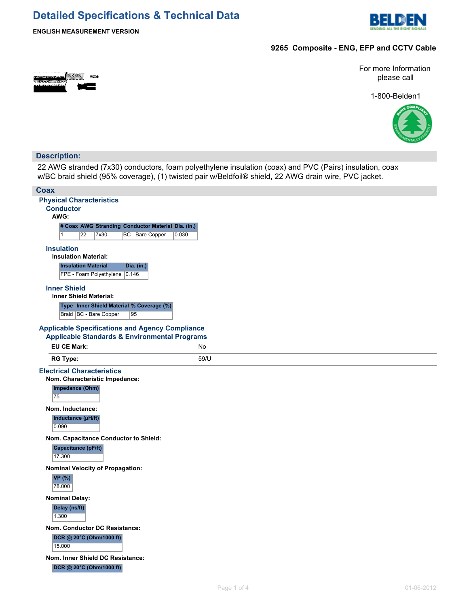## **Detailed Specifications & Technical Data**



**ENGLISH MEASUREMENT VERSION**

#### **9265 Composite - ENG, EFP and CCTV Cable**

For more Information please call

1-800-Belden1



#### **Description:**

22 AWG stranded (7x30) conductors, foam polyethylene insulation (coax) and PVC (Pairs) insulation, coax w/BC braid shield (95% coverage), (1) twisted pair w/Beldfoil® shield, 22 AWG drain wire, PVC jacket.

| <b>Coax</b>                                              |                                  |  |
|----------------------------------------------------------|----------------------------------|--|
| <b>Physical Characteristics</b>                          |                                  |  |
| <b>Conductor</b><br>AWG:                                 |                                  |  |
| # Coax AWG Stranding Conductor Material Dia. (in.)       |                                  |  |
| $\overline{22}$<br>$\vert$ 1<br>7x30                     | <b>BC</b> - Bare Copper<br>0.030 |  |
| <b>Insulation</b>                                        |                                  |  |
| <b>Insulation Material:</b>                              |                                  |  |
| <b>Insulation Material</b>                               | <b>Dia.</b> (in.)                |  |
| FPE - Foam Polyethylene 0.146                            |                                  |  |
| <b>Inner Shield</b>                                      |                                  |  |
| <b>Inner Shield Material:</b>                            |                                  |  |
| Type Inner Shield Material % Coverage (%)                |                                  |  |
| Braid   BC - Bare Copper                                 | 95                               |  |
| <b>Applicable Specifications and Agency Compliance</b>   |                                  |  |
| <b>Applicable Standards &amp; Environmental Programs</b> |                                  |  |
| <b>EU CE Mark:</b>                                       | No                               |  |
| <b>RG Type:</b>                                          | 59/U                             |  |
| <b>Electrical Characteristics</b>                        |                                  |  |
| Nom. Characteristic Impedance:                           |                                  |  |
| Impedance (Ohm)<br>75                                    |                                  |  |
| Nom. Inductance:                                         |                                  |  |
| Inductance (µH/ft)                                       |                                  |  |
| 0.090                                                    |                                  |  |
| Nom. Capacitance Conductor to Shield:                    |                                  |  |
| Capacitance (pF/ft)<br>17.300                            |                                  |  |
| <b>Nominal Velocity of Propagation:</b>                  |                                  |  |
| <b>VP</b> (%)<br>78.000                                  |                                  |  |
| <b>Nominal Delay:</b>                                    |                                  |  |
| Delay (ns/ft)                                            |                                  |  |
| 1.300                                                    |                                  |  |
| Nom. Conductor DC Resistance:                            |                                  |  |
| DCR @ 20°C (Ohm/1000 ft)                                 |                                  |  |
| 15.000                                                   |                                  |  |
| Nom. Inner Shield DC Resistance:                         |                                  |  |
| DCR @ 20°C (Ohm/1000 ft)                                 |                                  |  |
|                                                          |                                  |  |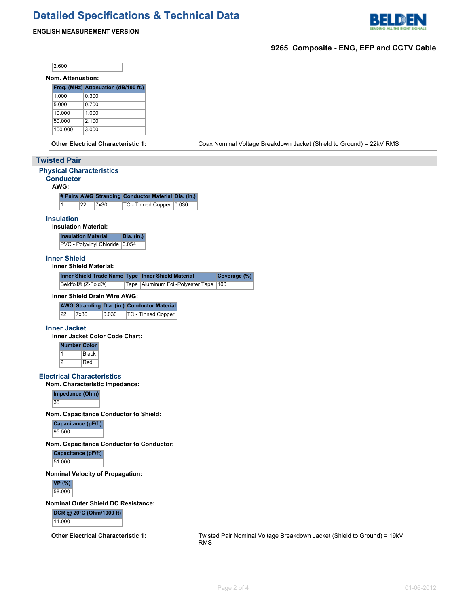# **Detailed Specifications & Technical Data**



#### **ENGLISH MEASUREMENT VERSION**

### **9265 Composite - ENG, EFP and CCTV Cable**

 $|2.600|$ 

**Nom. Attenuation:**

|         | Freq. (MHz) Attenuation (dB/100 ft.) |
|---------|--------------------------------------|
| 1.000   | 0.300                                |
| 5.000   | 0.700                                |
| 10.000  | 1.000                                |
| 50.000  | 2 100                                |
| 100.000 | 3.000                                |

**Other Electrical Characteristic 1:** Coax Nominal Voltage Breakdown Jacket (Shield to Ground) = 22kV RMS

|                                                                                | ັ                                                                                     |
|--------------------------------------------------------------------------------|---------------------------------------------------------------------------------------|
| <b>Twisted Pair</b>                                                            |                                                                                       |
| <b>Physical Characteristics</b><br><b>Conductor</b><br>AWG:                    |                                                                                       |
| # Pairs AWG Stranding Conductor Material Dia. (in.)                            |                                                                                       |
| $\vert$ 1<br>22<br>7x30<br>TC - Tinned Copper   0.030                          |                                                                                       |
| <b>Insulation</b><br><b>Insulation Material:</b>                               |                                                                                       |
| <b>Insulation Material</b><br>Dia. $(in.)$<br>PVC - Polyvinyl Chloride 0.054   |                                                                                       |
| <b>Inner Shield</b><br><b>Inner Shield Material:</b>                           |                                                                                       |
| Inner Shield Trade Name Type Inner Shield Material                             | Coverage (%)                                                                          |
| Beldfoil® (Z-Fold®)<br>Tape   Aluminum Foil-Polyester Tape   100               |                                                                                       |
| Inner Shield Drain Wire AWG:                                                   |                                                                                       |
| <b>AWG Stranding Dia. (in.) Conductor Material</b>                             |                                                                                       |
| 22<br>0.030<br>7x30<br>TC - Tinned Copper                                      |                                                                                       |
| <b>Inner Jacket</b>                                                            |                                                                                       |
| <b>Inner Jacket Color Code Chart:</b>                                          |                                                                                       |
| <b>Number Color</b><br>$\overline{1}$<br><b>Black</b><br>$\overline{2}$<br>Red |                                                                                       |
| <b>Electrical Characteristics</b>                                              |                                                                                       |
| Nom. Characteristic Impedance:                                                 |                                                                                       |
| Impedance (Ohm)<br>35                                                          |                                                                                       |
| Nom. Capacitance Conductor to Shield:                                          |                                                                                       |
| Capacitance (pF/ft)<br>95.500                                                  |                                                                                       |
| Nom. Capacitance Conductor to Conductor:                                       |                                                                                       |
| Capacitance (pF/ft)<br>51.000                                                  |                                                                                       |
| <b>Nominal Velocity of Propagation:</b>                                        |                                                                                       |
| <b>VP</b> (%)<br>58.000                                                        |                                                                                       |
| <b>Nominal Outer Shield DC Resistance:</b>                                     |                                                                                       |
| DCR @ 20°C (Ohm/1000 ft)<br>11.000                                             |                                                                                       |
| <b>Other Electrical Characteristic 1:</b>                                      | Twisted Pair Nominal Voltage Breakdown Jacket (Shield to Ground) = 19kV<br><b>RMS</b> |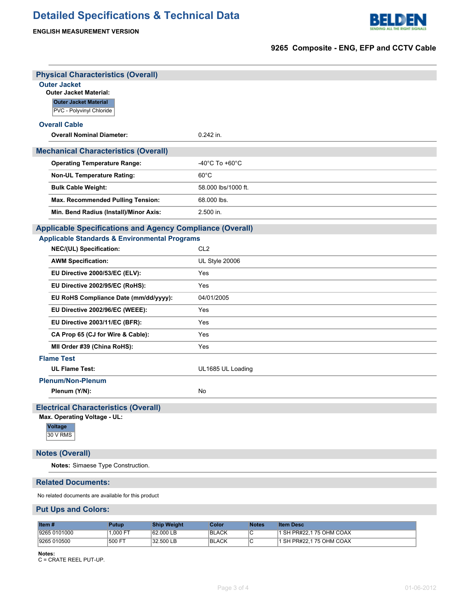# **Detailed Specifications & Technical Data**





### **9265 Composite - ENG, EFP and CCTV Cable**

| <b>Physical Characteristics (Overall)</b>                        |                                      |
|------------------------------------------------------------------|--------------------------------------|
| <b>Outer Jacket</b>                                              |                                      |
| <b>Outer Jacket Material:</b><br><b>Outer Jacket Material</b>    |                                      |
| PVC - Polyvinyl Chloride                                         |                                      |
| <b>Overall Cable</b>                                             |                                      |
| <b>Overall Nominal Diameter:</b>                                 | 0.242 in.                            |
| <b>Mechanical Characteristics (Overall)</b>                      |                                      |
| <b>Operating Temperature Range:</b>                              | -40 $^{\circ}$ C To +60 $^{\circ}$ C |
| <b>Non-UL Temperature Rating:</b>                                | $60^{\circ}$ C                       |
| <b>Bulk Cable Weight:</b>                                        | 58,000 lbs/1000 ft.                  |
| Max. Recommended Pulling Tension:                                | 68,000 lbs.                          |
| Min. Bend Radius (Install)/Minor Axis:                           | 2.500 in.                            |
| <b>Applicable Specifications and Agency Compliance (Overall)</b> |                                      |
| <b>Applicable Standards &amp; Environmental Programs</b>         |                                      |
| NEC/(UL) Specification:                                          | CL <sub>2</sub>                      |
| <b>AWM Specification:</b>                                        | UL Style 20006                       |
| EU Directive 2000/53/EC (ELV):                                   | Yes                                  |
| EU Directive 2002/95/EC (RoHS):                                  | Yes                                  |
| EU RoHS Compliance Date (mm/dd/yyyy):                            | 04/01/2005                           |
| EU Directive 2002/96/EC (WEEE):                                  | Yes                                  |
| EU Directive 2003/11/EC (BFR):                                   | Yes                                  |
| CA Prop 65 (CJ for Wire & Cable):                                | Yes                                  |
| MII Order #39 (China RoHS):                                      | Yes                                  |
| <b>Flame Test</b>                                                |                                      |
| <b>UL Flame Test:</b>                                            | UL1685 UL Loading                    |
| <b>Plenum/Non-Plenum</b>                                         |                                      |
| Plenum (Y/N):                                                    | No                                   |
| <b>Electrical Characteristics (Overall)</b>                      |                                      |
| Max. Operating Voltage - UL:                                     |                                      |
| <b>Voltage</b><br><b>30 V RMS</b>                                |                                      |
| <b>Notes (Overall)</b>                                           |                                      |
| Notes: Simaese Type Construction.                                |                                      |
| <b>Related Documents:</b>                                        |                                      |
| No related documents are available for this product              |                                      |

### **Put Ups and Colors:**

| Item $#$     | Putup    | <b>Ship Weight</b> | Color        | <b>Notes</b> | <b>Item Desc</b>         |
|--------------|----------|--------------------|--------------|--------------|--------------------------|
| 9265 0101000 | 1.000 FT | 62,000 LB          | <b>BLACK</b> |              | 1 SH PR#22.1 75 OHM COAX |
| 9265 010500  | 500 FT   | 32.500 LB          | <b>BLACK</b> |              | 1 SH PR#22.1 75 OHM COAX |

**Notes:**

C = CRATE REEL PUT-UP.